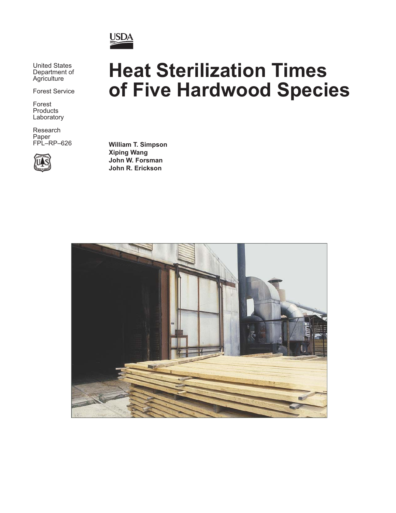

United States Department of Agriculture

Forest Service

Forest Products Laboratory

Research Paper FPL–RP–626



# **Heat Sterilization Times of Five Hardwood Species**

**William T. Simpson Xiping Wang John W. Forsman John R. Erickson**

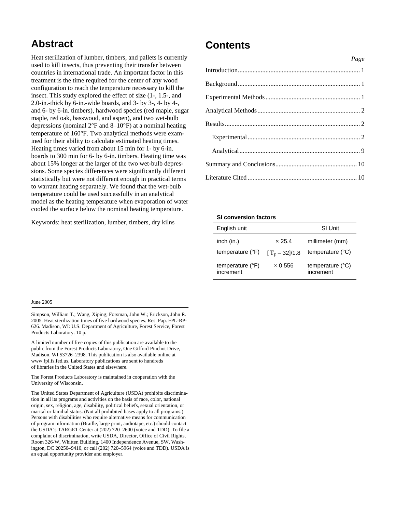### **Abstract**

Heat sterilization of lumber, timbers, and pallets is currently used to kill insects, thus preventing their transfer between countries in international trade. An important factor in this treatment is the time required for the center of any wood configuration to reach the temperature necessary to kill the insect. This study explored the effect of size (1-, 1.5-, and 2.0-in.-thick by 6-in.-wide boards, and 3- by 3-, 4- by 4-, and 6- by 6-in. timbers), hardwood species (red maple, sugar maple, red oak, basswood, and aspen), and two wet-bulb depressions (nominal 2°F and 8–10°F) at a nominal heating temperature of 160°F. Two analytical methods were examined for their ability to calculate estimated heating times. Heating times varied from about 15 min for 1- by 6-in. boards to 300 min for 6- by 6-in. timbers. Heating time was about 15% longer at the larger of the two wet-bulb depressions. Some species differences were significantly different statistically but were not different enough in practical terms to warrant heating separately. We found that the wet-bulb temperature could be used successfully in an analytical model as the heating temperature when evaporation of water cooled the surface below the nominal heating temperature.

Keywords: heat sterilization, lumber, timbers, dry kilns

### **Contents**

| Page |
|------|
|      |
|      |
|      |
|      |
|      |
|      |
|      |
|      |
|      |

#### **SI conversion factors**

| English unit                           |                        | <b>SI Unit</b>                         |
|----------------------------------------|------------------------|----------------------------------------|
| inch (in.)                             | $\times$ 25.4          | millimeter (mm)                        |
| temperature (°F)                       | $[T_{\rm F} - 32]/1.8$ | temperature $(^{\circ}C)$              |
| temperature $(^{\circ}F)$<br>increment | $\times$ 0.556         | temperature $(^{\circ}C)$<br>increment |

#### June 2005

Simpson, William T.; Wang, Xiping; Forsman, John W.; Erickson, John R. 2005. Heat sterilization times of five hardwood species. Res. Pap. FPL-RP-626. Madison, WI: U.S. Department of Agriculture, Forest Service, Forest Products Laboratory. 10 p.

A limited number of free copies of this publication are available to the public from the Forest Products Laboratory, One Gifford Pinchot Drive, Madison, WI 53726–2398. This publication is also available online at www.fpl.fs.fed.us. Laboratory publications are sent to hundreds of libraries in the United States and elsewhere.

The Forest Products Laboratory is maintained in cooperation with the University of Wisconsin.

The United States Department of Agriculture (USDA) prohibits discrimination in all its programs and activities on the basis of race, color, national origin, sex, religion, age, disability, political beliefs, sexual orientation, or marital or familial status. (Not all prohibited bases apply to all programs.) Persons with disabilities who require alternative means for communication of program information (Braille, large print, audiotape, etc.) should contact the USDA's TARGET Center at (202) 720–2600 (voice and TDD). To file a complaint of discrimination, write USDA, Director, Office of Civil Rights, Room 326-W, Whitten Building, 1400 Independence Avenue, SW, Washington, DC 20250–9410, or call (202) 720–5964 (voice and TDD). USDA is an equal opportunity provider and employer.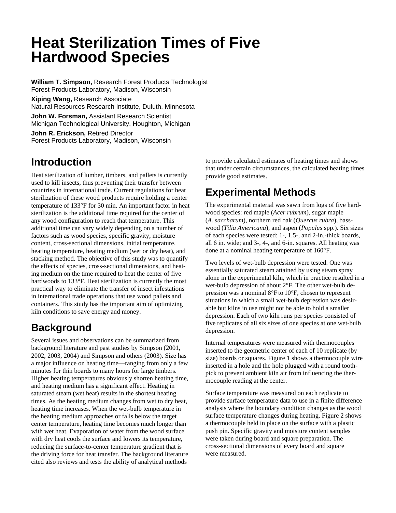## **Heat Sterilization Times of Five Hardwood Species**

**William T. Simpson,** Research Forest Products Technologist Forest Products Laboratory, Madison, Wisconsin

**Xiping Wang,** Research Associate Natural Resources Research Institute, Duluth, Minnesota

**John W. Forsman,** Assistant Research Scientist Michigan Technological University, Houghton, Michigan

**John R. Erickson,** Retired Director Forest Products Laboratory, Madison, Wisconsin

### **Introduction**

Heat sterilization of lumber, timbers, and pallets is currently used to kill insects, thus preventing their transfer between countries in international trade. Current regulations for heat sterilization of these wood products require holding a center temperature of 133°F for 30 min. An important factor in heat sterilization is the additional time required for the center of any wood configuration to reach that temperature. This additional time can vary widely depending on a number of factors such as wood species, specific gravity, moisture content, cross-sectional dimensions, initial temperature, heating temperature, heating medium (wet or dry heat), and stacking method. The objective of this study was to quantify the effects of species, cross-sectional dimensions, and heating medium on the time required to heat the center of five hardwoods to 133°F. Heat sterilization is currently the most practical way to eliminate the transfer of insect infestations in international trade operations that use wood pallets and containers. This study has the important aim of optimizing kiln conditions to save energy and money.

### **Background**

Several issues and observations can be summarized from background literature and past studies by Simpson (2001, 2002, 2003, 2004) and Simpson and others (2003). Size has a major influence on heating time—ranging from only a few minutes for thin boards to many hours for large timbers. Higher heating temperatures obviously shorten heating time, and heating medium has a significant effect. Heating in saturated steam (wet heat) results in the shortest heating times. As the heating medium changes from wet to dry heat, heating time increases. When the wet-bulb temperature in the heating medium approaches or falls below the target center temperature, heating time becomes much longer than with wet heat. Evaporation of water from the wood surface with dry heat cools the surface and lowers its temperature, reducing the surface-to-center temperature gradient that is the driving force for heat transfer. The background literature cited also reviews and tests the ability of analytical methods

to provide calculated estimates of heating times and shows that under certain circumstances, the calculated heating times provide good estimates.

## **Experimental Methods**

The experimental material was sawn from logs of five hardwood species: red maple (*Acer rubrum*), sugar maple (*A. saccharum*), northern red oak (*Quercus rubra*), basswood (*Tilia Americana*), and aspen (*Populus* spp.). Six sizes of each species were tested: 1-, 1.5-, and 2-in.-thick boards, all 6 in. wide; and 3-, 4-, and 6-in. squares. All heating was done at a nominal heating temperature of 160°F.

Two levels of wet-bulb depression were tested. One was essentially saturated steam attained by using steam spray alone in the experimental kiln, which in practice resulted in a wet-bulb depression of about 2°F. The other wet-bulb depression was a nominal 8°F to 10°F, chosen to represent situations in which a small wet-bulb depression was desirable but kilns in use might not be able to hold a smaller depression. Each of two kiln runs per species consisted of five replicates of all six sizes of one species at one wet-bulb depression.

Internal temperatures were measured with thermocouples inserted to the geometric center of each of 10 replicate (by size) boards or squares. Figure 1 shows a thermocouple wire inserted in a hole and the hole plugged with a round toothpick to prevent ambient kiln air from influencing the thermocouple reading at the center.

Surface temperature was measured on each replicate to provide surface temperature data to use in a finite difference analysis where the boundary condition changes as the wood surface temperature changes during heating. Figure 2 shows a thermocouple held in place on the surface with a plastic push pin. Specific gravity and moisture content samples were taken during board and square preparation. The cross-sectional dimensions of every board and square were measured.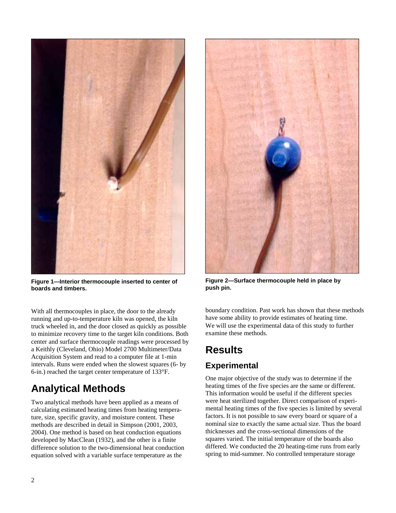

**Figure 1—Interior thermocouple inserted to center of boards and timbers.** 

With all thermocouples in place, the door to the already running and up-to-temperature kiln was opened, the kiln truck wheeled in, and the door closed as quickly as possible to minimize recovery time to the target kiln conditions. Both center and surface thermocouple readings were processed by a Keithly (Cleveland, Ohio) Model 2700 Multimeter/Data Acquisition System and read to a computer file at 1-min intervals. Runs were ended when the slowest squares (6- by 6-in.) reached the target center temperature of 133°F.

### **Analytical Methods**

Two analytical methods have been applied as a means of calculating estimated heating times from heating temperature, size, specific gravity, and moisture content. These methods are described in detail in Simpson (2001, 2003, 2004). One method is based on heat conduction equations developed by MacClean (1932), and the other is a finite difference solution to the two-dimensional heat conduction equation solved with a variable surface temperature as the



**Figure 2—Surface thermocouple held in place by push pin.** 

boundary condition. Past work has shown that these methods have some ability to provide estimates of heating time. We will use the experimental data of this study to further examine these methods.

## **Results**

### **Experimental**

One major objective of the study was to determine if the heating times of the five species are the same or different. This information would be useful if the different species were heat sterilized together. Direct comparison of experimental heating times of the five species is limited by several factors. It is not possible to saw every board or square of a nominal size to exactly the same actual size. Thus the board thicknesses and the cross-sectional dimensions of the squares varied. The initial temperature of the boards also differed. We conducted the 20 heating-time runs from early spring to mid-summer. No controlled temperature storage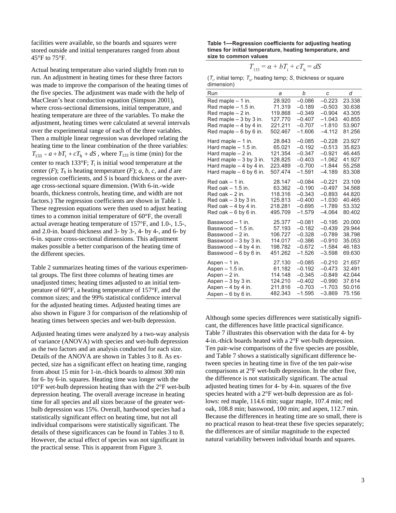facilities were available, so the boards and squares were stored outside and initial temperatures ranged from about 45°F to 75°F.

Actual heating temperature also varied slightly from run to run. An adjustment in heating times for these three factors was made to improve the comparison of the heating times of the five species. The adjustment was made with the help of MacClean's heat conduction equation (Simpson 2001), where cross-sectional dimensions, initial temperature, and heating temperature are three of the variables. To make the adjustment, heating times were calculated at several intervals over the experimental range of each of the three variables. Then a multiple linear regression was developed relating the heating time to the linear combination of the three variables:  $T_{133} = a + bT_1 + cT_1 + dS$ , where  $T_{133}$  is time (min) for the center to reach 133 $\degree$ F;  $T_i$  is initial wood temperature at the center  $(F)$ ;  $T<sub>h</sub>$  is heating temperature  $(F)$ ; *a*, *b*, *c*, and *d* are regression coefficients, and *S* is board thickness or the average cross-sectional square dimension. (With 6-in.-wide boards, thickness controls, heating time, and width are not factors.) The regression coefficients are shown in Table 1. These regression equations were then used to adjust heating times to a common initial temperature of 60°F, the overall actual average heating temperature of 157°F, and 1.0-, 1.5-, and 2.0-in. board thickness and 3- by 3-, 4- by 4-, and 6- by 6-in. square cross-sectional dimensions. This adjustment makes possible a better comparison of the heating time of the different species.

Table 2 summarizes heating times of the various experimental groups. The first three columns of heating times are unadjusted times; heating times adjusted to an initial temperature of 60°F, a heating temperature of 157°F, and the common sizes; and the 99% statistical confidence interval for the adjusted heating times. Adjusted heating times are also shown in Figure 3 for comparison of the relationship of heating times between species and wet-bulb depression.

Adjusted heating times were analyzed by a two-way analysis of variance (ANOVA) with species and wet-bulb depression as the two factors and an analysis conducted for each size. Details of the ANOVA are shown in Tables 3 to 8. As expected, size has a significant effect on heating time, ranging from about 15 min for 1-in.-thick boards to almost 300 min for 6- by 6-in. squares. Heating time was longer with the 10°F wet-bulb depression heating than with the 2°F wet-bulb depression heating. The overall average increase in heating time for all species and all sizes because of the greater wetbulb depression was 15%. Overall, hardwood species had a statistically significant effect on heating time, but not all individual comparisons were statistically significant. The details of these significances can be found in Tables 3 to 8. However, the actual effect of species was not significant in the practical sense. This is apparent from Figure 3.

Table 1-Regression coefficients for adjusting heating **times for initial temperature, heating temperature, and size to common values**

$$
T_{133} = \alpha + bT_i + cT_h = dS
$$

 $(T_{\rho}$  initial temp;  $T_{\rho}$ , heating temp; *S*, thickness or square dimension)

| Run                      | a       | b        | C        | d      |
|--------------------------|---------|----------|----------|--------|
| Red maple $-1$ in.       | 28.920  | $-0.086$ | $-0.223$ | 23.338 |
| Red maple - 1.5 in.      | 71.319  | $-0.189$ | $-0.503$ | 30.638 |
| Red maple $-2$ in.       | 119.868 | $-0.349$ | $-0.904$ | 43.305 |
| Red maple $-3$ by 3 in.  | 127.770 | $-0.407$ | $-1.043$ | 40.855 |
| Red maple $-4$ by 4 in.  | 221.211 | $-0.707$ | $-1.810$ | 53.907 |
| Red maple $-6$ by 6 in.  | 502.467 | $-1.606$ | $-4.112$ | 81.256 |
| Hard maple $-1$ in.      | 28.843  | $-0.085$ | $-0.228$ | 23.927 |
| Hard maple - 1.5 in.     | 65.021  | $-0.192$ | $-0.513$ | 35.823 |
| Hard maple $-2$ in.      | 121.354 | $-0.347$ | $-0.921$ | 46.445 |
| Hard maple $-3$ by 3 in. | 128.825 | $-0.403$ | $-1.062$ | 41.927 |
| Hard maple $-4$ by 4 in. | 223.489 | $-0.700$ | $-1.844$ | 55.258 |
| Hard maple $-6$ by 6 in. | 507.474 | $-1.591$ | $-4.189$ | 83.308 |
| Red oak $-1$ in.         | 28.147  | $-0.084$ | $-0.221$ | 23.109 |
| Red oak $-1.5$ in.       | 63.362  | $-0.190$ | $-0.497$ | 34.568 |
| Red oak $-2$ in.         | 118.316 | $-0.343$ | $-0.893$ | 44.820 |
| Red oak $-3$ by 3 in.    | 125.813 | $-0.400$ | $-1.030$ | 40.465 |
| Red oak $-4$ by 4 in.    | 218.281 | $-0.695$ | $-1.789$ | 53.332 |
| Red oak $-6$ by 6 in.    | 495.709 | $-1.579$ | $-4.064$ | 80.402 |
| Basswood - 1 in.         | 25.377  | $-0.081$ | $-0.195$ | 20.000 |
| Basswood - 1.5 in.       | 57.193  | $-0.182$ | $-0.439$ | 29.944 |
| Basswood - 2 in.         | 106.727 | $-0.328$ | $-0.789$ | 38.798 |
| Basswood - 3 by 3 in.    | 114.017 | $-0.386$ | $-0.910$ | 35.053 |
| Basswood - 4 by 4 in.    | 198.782 | $-0.672$ | $-1.584$ | 46.183 |
| Basswood - 6 by 6 in.    | 451.262 | $-1.526$ | $-3.598$ | 69.630 |
| Aspen - 1 in.            | 27.130  | $-0.085$ | $-0.210$ | 21.657 |
| Aspen - 1.5 in.          | 61.182  | $-0.192$ | $-0.473$ | 32.491 |
| Aspen $-2$ in.           | 114.148 | $-0.345$ | $-0.849$ | 42.044 |
| Aspen $-3$ by 3 in.      | 124.210 | $-0.402$ | $-0.990$ | 37.614 |
| Aspen $-4$ by 4 in.      | 211.816 | $-0.703$ | $-1.703$ | 50.016 |
| Aspen $-6$ by 6 in.      | 482.343 | $-1.595$ | $-3.869$ | 75.156 |

Although some species differences were statistically significant, the differences have little practical significance. Table 7 illustrates this observation with the data for 4- by 4-in.-thick boards heated with a 2°F wet-bulb depression. Ten pair-wise comparisons of the five species are possible, and Table 7 shows a statistically significant difference between species in heating time in five of the ten pair-wise comparisons at 2°F wet-bulb depression. In the other five, the difference is not statistically significant. The actual adjusted heating times for 4- by 4-in. squares of the five species heated with a 2°F wet-bulb depression are as follows: red maple, 114.6 min; sugar maple, 107.4 min; red oak, 108.8 min; basswood, 100 min; and aspen, 112.7 min. Because the differences in heating time are so small, there is no practical reason to heat-treat these five species separately; the differences are of similar magnitude to the expected natural variability between individual boards and squares.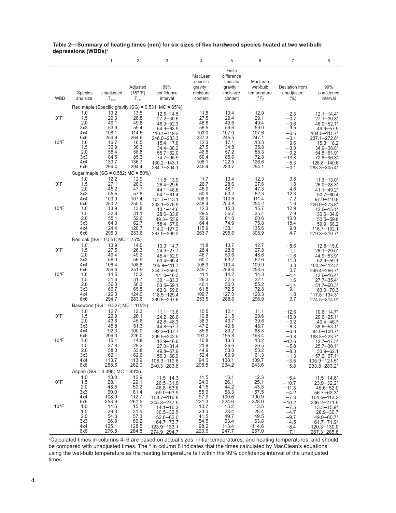|                |                | $\mathbf{1}$                               | $\overline{2}$      | 3                                                          | 4                                           | 5                                                        | 6                                  | $\overline{7}$               | 8                                |
|----------------|----------------|--------------------------------------------|---------------------|------------------------------------------------------------|---------------------------------------------|----------------------------------------------------------|------------------------------------|------------------------------|----------------------------------|
|                | Species        | Unadjusted                                 | Adjusted<br>(157°F) | 99%<br>confidence                                          | MacLean<br>specific<br>gravity-<br>moisture | Finite<br>difference<br>specific<br>gravity-<br>moisture | MacLean<br>wet-bulb<br>temperature | Deviation from<br>unadjusted | 99%<br>confidence                |
| <b>WBD</b>     | and size       | $T_{133}$                                  | $T_{133}$           | interval                                                   | content                                     | content                                                  | $(^{\circ}F)$                      | $(\% )$                      | interval                         |
|                |                | 13.2                                       | 13.5                | Red maple (Specific gravity (SG) = $0.531$ ; MC = $65\%$ ) | 11.8                                        | 13.4                                                     | 12.9                               |                              |                                  |
| $0^{\circ}$ F  | $1.0$<br>$1.5$ | 29.3                                       | 28.8                | $12.5 - 14.5$<br>$27.2 - 30.5$                             | 27.5                                        | 29.4                                                     | 29.1                               | $-2.3$<br>$-0.7$             | $12.1 - 14.4*$<br>$27.1 - 30.8*$ |
|                | 2.0            | 49.1                                       | 49.6                | $46.9 - 52.3$                                              | 46.8                                        | 49.6                                                     | 49.4                               | $-0.6$<br>9.5                | 46.0-52.1*                       |
|                | 3x3<br>4x4     | 53.9<br>108.1                              | 59.4<br>114.6       | $54.9 - 63.9$<br>110.1-119.2                               | 56.5<br>103.0                               | 59.6<br>107.0                                            | 59.0<br>107.6                      | $-0.5$                       | 49.9-57.9<br>104.5-111.7*        |
|                | 6x6            | 254.9                                      | 264.6               | 246.0-283.3                                                | 237.3                                       | 245.5                                                    | 247.1                              | $-3.1$                       | 237.1-272.6*                     |
| $10^{\circ}$ F | 1.0<br>1.5     | 16.7<br>36.9                               | 16.5<br>36.3        | $15.4 - 17.6$<br>$34.4 - 38.2$                             | 12.3<br>27.5                                | 17.1<br>34.8                                             | 18.3<br>35.8                       | 9.6<br>$-3.0$                | $15.3 - 18.2$<br>34.9-38.8*      |
|                | 2.0            | 58.4                                       | 58.8                | $55.7 - 62.0$                                              | 46.8                                        | 57.2                                                     | 58.3                               | $-0.2$                       | 54.8-61.9*                       |
|                | 3x3<br>4x4     | 84.5<br>133.7                              | 85.3<br>136.7       | 74.7-95.9<br>130.2-143.1                                   | 60.4<br>106.1                               | 85.6<br>122.5                                            | 72.8<br>126.6                      | $-13.8$<br>$-5.3$            | 72.8-96.3*<br>126.8-140.6        |
|                | 6x6            | 294.4                                      | 294.4               | 284.7-304.1                                                | 245.4                                       | 280.7                                                    | 294.1                              | $-0.1$                       | 283.3-305.4*                     |
|                | 1.0            | Sugar maple (SG = 0.582; MC = 50%)<br>12.2 | 12.9                |                                                            | 11.7                                        | 13.4                                                     | 12.3                               | 0.8                          |                                  |
| $0^{\circ}$ F  | 1.5            | 27.1                                       | 28.0                | $11.8 - 13.9$<br>$26.4 - 29.6$                             | 26.7                                        | 28.6                                                     | 27.6                               | 1.8                          | $11.3 - 13.0*$<br>26.0-28.3*     |
|                | 2.0<br>3x3     | 45.2<br>55.5                               | 47.7<br>57.8        | 44.1-48.6                                                  | 46.0<br>60.9                                | 48.1<br>63.2                                             | 47.3<br>62.3                       | 4.6<br>12.3                  | 41.1-49.2*                       |
|                | 4x4            | 103.9                                      | 107.4               | $54.1 - 61.4$<br>$101.7 - 113.1$                           | 108.9                                       | 110.6                                                    | 111.4                              | 7.2                          | $50.7 - 60.4$<br>97.0-110.8      |
| $10^{\circ}$ F | 6x6<br>1.0     | 250.2<br>13.9                              | 255.0<br>13.8       | 233.1-276.9                                                | 248.4<br>12.3                               | 250.8<br>15.3                                            | 254.2<br>15.7                      | 1.6<br>12.9                  | 226.6-273.8*                     |
|                | 1.5            | 32.8                                       | 31.1                | $13.1 - 14.6$<br>$28.6 - 33.6$                             | 29.5                                        | 35.7                                                     | 35.4                               | 7.9                          | $12.6 - 15.1*$<br>$30.6 - 34.9$  |
|                | 2.0<br>3x3     | 55.1<br>64.0                               | 52.6<br>62.7        | $49.3 - 55.9$                                              | 50.9<br>64.4                                | 61.0<br>74.9                                             | 60.6<br>75.8                       | 10.0<br>18.4                 | $50.5 - 59.8$                    |
|                | 4x4            | 124.4                                      | 120.7               | 58.4—67.0<br>$114.2 - 127.2$                               | 115.9                                       | 133.1                                                    | 135.6                              | 9.0                          | $59.9 - 68.2$<br>116.7-132.1     |
|                | 6x6            | 295.0                                      | 283.6               | 267 9 - 299.2                                              | 263.7                                       | 295.6                                                    | 308.9                              | 4.7                          | 279.3—310.7*                     |
|                | 1.0            | Red oak (SG = 0.551; MC = 75%)<br>13.9     | 14.0                | $13.3 - 14.7$                                              | 11.8                                        | 13.7                                                     | 12.7                               | $-8.6$                       | $12.8 - 15.0$                    |
| $0^{\circ}$ F  | 1.5            | 27.5                                       | 26.3                | 24.9-277                                                   | 26.4                                        | 28.8                                                     | 27.8                               | 1.1                          | 26.1-29.0*                       |
|                | 2.0<br>3x3     | 49.4<br>56.0                               | 49.2<br>56.9        | $45.4 - 52.9$<br>$53.4 - 60.4$                             | 46.7<br>60.7                                | 50.6<br>63.2                                             | 48.6<br>62.6                       | $-1.6$<br>11.8               | 44.9-53.9*<br>$52.9 - 59.1$      |
|                | 4x4            | 106.4                                      | 108.8               | 105.9-111.7                                                | 106.3                                       | 110.4                                                    | 109.9                              | 3.3                          | 100.2-112.5*                     |
| $10^{\circ}$ F | 6x6<br>1.0     | 256.6<br>14.5                              | 251.9<br>15.2       | 244.7-259.0<br>$14.0 - 16.3$                               | 249.7<br>11.1                               | 256.6<br>14.2                                            | 258.5<br>14.3                      | 0.7<br>$-1.4$                | 246.4-266.7*<br>$12.6 - 16.4*$   |
|                | 1.5            | 31.6                                       | 31.7                | $30.1 - 33.3$                                              | 26.3                                        | 32.5                                                     | 32.1                               | 1.6                          | 27.7-35.4*                       |
|                | 2.0<br>3x3     | 56.0<br>66.7                               | 56.3<br>65.5        | $53.5 - 59.1$<br>$62.0 - 69.0$                             | 46.1<br>61.8                                | 56.0<br>72.5                                             | 55.2<br>72.8                       | $-1.4$<br>9.1                | $51.7 - 60.3*$<br>$63.0 - 70.3$  |
|                | 4x4            | 126.0                                      | 124.0               | 118.5-129.4                                                | 109.7                                       | 127.0                                                    | 128.3                              | 1.8                          | 117.8-134.3*                     |
|                | 6x6            | 294.7<br>Basswood (SG = 0.327; MC = 115%)  | 283.6               | 269.6-297.6                                                | 253.5                                       | 288.6                                                    | 296.9                              | 0.7                          | 274.5-314.9*                     |
|                | 1.0            | 12.7                                       | 12.3                | $11.1 - 13.6$                                              | 10.5                                        | 12.1                                                     | 11.1                               | $-12.6$                      | $10.6 - 14.7*$                   |
| $0^{\circ}$ F  | 1.5<br>2.0     | 22.9<br>43.6                               | 26.1<br>45.6        | $24.2 - 28.0$                                              | 19.8<br>38.3                                | 21.5<br>40.7                                             | 20.6<br>39.6                       | $-10.0$                      | 20.6-25.1*                       |
|                | 3x3            | 45.8                                       | 51.3                | $42.8 - 48.3$<br>44.8-57.7                                 | 47.2                                        | 49.5                                                     | 48.7                               | $-9.2$<br>6.3                | $40.4 - 46.7$<br>38.6-53.1*      |
|                | 4x4<br>6x6     | 92.3<br>206.3                              | 100.0<br>226.0      | $92.2 - 107.7$                                             | 85.8<br>191.2                               | 89.2<br>195.8                                            | 88.8<br>198.4                      | $-3.8$                       | 84.0-100.7*                      |
| $10^{\circ}$ F | 1.0            | 15.1                                       | 14.8                | 209.5-242.5<br>$12.9 - 16.6$                               | 10.8                                        | 13.3                                                     | 13.2                               | $-3.8$<br>$-12.6$            | 188.8-223.7*<br>$12.7 - 17.5*$   |
|                | 1.5<br>2.0     | 27.9<br>58.0                               | 29.2<br>53.8        | $27.0 - 31.4$<br>49.8-57.9                                 | 21.9<br>44.9                                | 26.6<br>53.0                                             | 26.5<br>53.2                       | $-5.0$<br>$-8.3$             | 25.7-30.1*<br>$53.9 - 62.1$      |
|                | 3x3            | 62.1                                       | 62.6                | $56.3 - 68.9$                                              | 52.4                                        | 60.9                                                     | 61.3                               | $-1.3$                       | $57.2 - 67.1*$                   |
|                | 4x4<br>6x6     | 113.7<br>258.5                             | 113.9<br>262.0      | 108.3-119.6                                                | 94.0<br>208.5                               | 108.1<br>234.2                                           | 109.7<br>243.6                     | $-3.5$<br>$-5.8$             | 105.9-121.5*                     |
|                |                | Aspen (SG = $0.398$ ; MC = $88\%$ )        |                     | 240.3-283.8                                                |                                             |                                                          |                                    |                              | 233.8-283.2*                     |
|                | 1.0            | 13.0                                       | 12.9                | $11.5 - 14.3$                                              | 11.5                                        | 13.1                                                     | 12.3                               | $-5.4$                       | $11.5 - 14.6*$                   |
| $0^{\circ}$ F  | 1.5<br>2.0     | 28.1<br>48.8                               | 29.1<br>50.2        | $26.5 - 31.6$<br>$46.8 - 53.6$                             | 24.0<br>41.5                                | 26.1<br>44.2                                             | 25.1<br>43.3                       | $-10.7$<br>$-11.3$           | $23.9 - 32.2*$<br>$45.6 - 52.0$  |
|                | 3x3            | 60.0                                       | 61.4                | $59.0 - 63.9$                                              | 55.6                                        | 58.3                                                     | 57.5                               | $-4.2$                       | $56.7 - 63.3*$                   |
|                | 4x4<br>6x6     | 108.9<br>253.9                             | 112.7<br>261.5      | 108.7-116.8<br>245.3-277.5                                 | 97.9<br>221.3                               | 100.6<br>224.6                                           | 100.9<br>228.0                     | $-7.3$<br>$-10.2$            | 104.6-113.2<br>236.2-271.5       |
| $10^{\circ}$ F | 1.0            | 14.6                                       | 15.1                | $14.1 - 16.2$                                              | 10.7                                        | 13.2                                                     | 13.5                               | $-7.5$                       | $13.3 - 15.9*$                   |
|                | 1.5<br>2.0     | 29.8<br>54.8                               | 31.5<br>57.3        | $30.5 - 32.5$<br>$52.6 - 62.0$                             | 23.3<br>41.5                                | 28.4<br>49.7                                             | 28.4<br>49.5                       | $-4.7$<br>$-9.7$             | $28.9 - 30.7$<br>49.0-60.7*      |
|                | 3x3            | 66.8                                       | 69.2                | $64.7 - 73.7$                                              | 54.5                                        | 63.4                                                     | 63.8                               | $-4.5$                       | $61.7 - 71.9*$                   |
|                | 4x4<br>6x6     | 125.1<br>276.5                             | 128.5<br>284.8      | 123.9-133.1<br>274.9-294.7                                 | 98.2<br>220.6                               | 113.4<br>247.7                                           | 114.6<br>257.0                     | $-8.4$<br>$-7.1$             | 120.3-130.0<br>267.3-285.8       |

#### Table 2-Summary of heating times (min) for six sizes of five hardwood species heated at two wet-bulb **depressions (WBDs)a**

a Calculated times in columns 4–6 are based on actual sizes, initial temperatures, and heating temperatures, and should be compared with unadjusted times. The \* in column 8 indicates that the times calculated by MacClean's equations using the wet-bulb temperature as the heating temperature fall within the 99% confi dence interval of the unadjusted times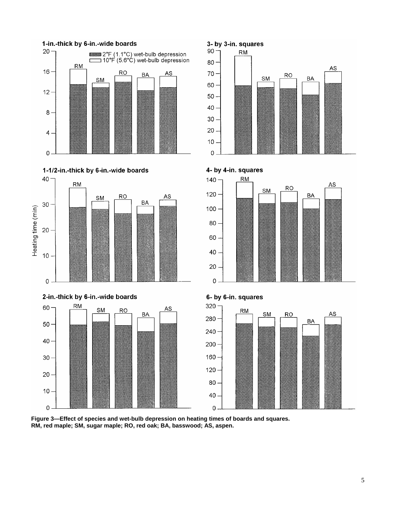







 $\mathbf 0$ 









**Figure 3—Effect of species and wet-bulb depression on heating times of boards and squares. RM, red maple; SM, sugar maple; RO, red oak; BA, basswood; AS, aspen.**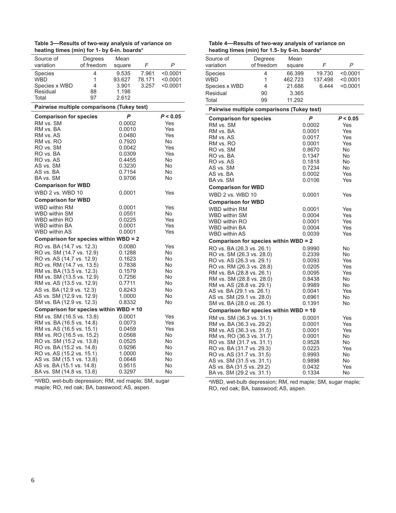| Table 3—Results of two-way analysis of variance on      |
|---------------------------------------------------------|
| heating times (min) for 1- by 6-in. boards <sup>a</sup> |

| Degrees                                                | Mean                                                                                                                                                                                                                                                                                                                                                                                                                                                                                                                                                                                                                            |                                                      |                                                                                                                                                                                                                                                                                                                                                                                                                                                                                                                                            |
|--------------------------------------------------------|---------------------------------------------------------------------------------------------------------------------------------------------------------------------------------------------------------------------------------------------------------------------------------------------------------------------------------------------------------------------------------------------------------------------------------------------------------------------------------------------------------------------------------------------------------------------------------------------------------------------------------|------------------------------------------------------|--------------------------------------------------------------------------------------------------------------------------------------------------------------------------------------------------------------------------------------------------------------------------------------------------------------------------------------------------------------------------------------------------------------------------------------------------------------------------------------------------------------------------------------------|
|                                                        | square                                                                                                                                                                                                                                                                                                                                                                                                                                                                                                                                                                                                                          |                                                      | Ρ                                                                                                                                                                                                                                                                                                                                                                                                                                                                                                                                          |
| 4                                                      | 9.535                                                                                                                                                                                                                                                                                                                                                                                                                                                                                                                                                                                                                           | 7.961                                                | < 0.0001                                                                                                                                                                                                                                                                                                                                                                                                                                                                                                                                   |
|                                                        | 93.627                                                                                                                                                                                                                                                                                                                                                                                                                                                                                                                                                                                                                          | 78.171                                               | < 0.0001                                                                                                                                                                                                                                                                                                                                                                                                                                                                                                                                   |
|                                                        |                                                                                                                                                                                                                                                                                                                                                                                                                                                                                                                                                                                                                                 |                                                      | < 0.0001                                                                                                                                                                                                                                                                                                                                                                                                                                                                                                                                   |
|                                                        |                                                                                                                                                                                                                                                                                                                                                                                                                                                                                                                                                                                                                                 |                                                      |                                                                                                                                                                                                                                                                                                                                                                                                                                                                                                                                            |
|                                                        |                                                                                                                                                                                                                                                                                                                                                                                                                                                                                                                                                                                                                                 |                                                      |                                                                                                                                                                                                                                                                                                                                                                                                                                                                                                                                            |
|                                                        |                                                                                                                                                                                                                                                                                                                                                                                                                                                                                                                                                                                                                                 |                                                      |                                                                                                                                                                                                                                                                                                                                                                                                                                                                                                                                            |
|                                                        | P                                                                                                                                                                                                                                                                                                                                                                                                                                                                                                                                                                                                                               |                                                      | P < 0.05                                                                                                                                                                                                                                                                                                                                                                                                                                                                                                                                   |
|                                                        |                                                                                                                                                                                                                                                                                                                                                                                                                                                                                                                                                                                                                                 |                                                      | Yes                                                                                                                                                                                                                                                                                                                                                                                                                                                                                                                                        |
|                                                        |                                                                                                                                                                                                                                                                                                                                                                                                                                                                                                                                                                                                                                 |                                                      | Yes                                                                                                                                                                                                                                                                                                                                                                                                                                                                                                                                        |
|                                                        |                                                                                                                                                                                                                                                                                                                                                                                                                                                                                                                                                                                                                                 |                                                      | Yes                                                                                                                                                                                                                                                                                                                                                                                                                                                                                                                                        |
|                                                        |                                                                                                                                                                                                                                                                                                                                                                                                                                                                                                                                                                                                                                 |                                                      | No                                                                                                                                                                                                                                                                                                                                                                                                                                                                                                                                         |
|                                                        |                                                                                                                                                                                                                                                                                                                                                                                                                                                                                                                                                                                                                                 |                                                      | Yes                                                                                                                                                                                                                                                                                                                                                                                                                                                                                                                                        |
|                                                        |                                                                                                                                                                                                                                                                                                                                                                                                                                                                                                                                                                                                                                 |                                                      | Yes                                                                                                                                                                                                                                                                                                                                                                                                                                                                                                                                        |
|                                                        |                                                                                                                                                                                                                                                                                                                                                                                                                                                                                                                                                                                                                                 |                                                      | No                                                                                                                                                                                                                                                                                                                                                                                                                                                                                                                                         |
|                                                        |                                                                                                                                                                                                                                                                                                                                                                                                                                                                                                                                                                                                                                 |                                                      | No                                                                                                                                                                                                                                                                                                                                                                                                                                                                                                                                         |
|                                                        |                                                                                                                                                                                                                                                                                                                                                                                                                                                                                                                                                                                                                                 |                                                      | No                                                                                                                                                                                                                                                                                                                                                                                                                                                                                                                                         |
|                                                        |                                                                                                                                                                                                                                                                                                                                                                                                                                                                                                                                                                                                                                 |                                                      | No                                                                                                                                                                                                                                                                                                                                                                                                                                                                                                                                         |
|                                                        |                                                                                                                                                                                                                                                                                                                                                                                                                                                                                                                                                                                                                                 |                                                      |                                                                                                                                                                                                                                                                                                                                                                                                                                                                                                                                            |
|                                                        |                                                                                                                                                                                                                                                                                                                                                                                                                                                                                                                                                                                                                                 |                                                      | Yes                                                                                                                                                                                                                                                                                                                                                                                                                                                                                                                                        |
|                                                        |                                                                                                                                                                                                                                                                                                                                                                                                                                                                                                                                                                                                                                 |                                                      |                                                                                                                                                                                                                                                                                                                                                                                                                                                                                                                                            |
|                                                        |                                                                                                                                                                                                                                                                                                                                                                                                                                                                                                                                                                                                                                 |                                                      | Yes                                                                                                                                                                                                                                                                                                                                                                                                                                                                                                                                        |
|                                                        |                                                                                                                                                                                                                                                                                                                                                                                                                                                                                                                                                                                                                                 |                                                      | No                                                                                                                                                                                                                                                                                                                                                                                                                                                                                                                                         |
|                                                        |                                                                                                                                                                                                                                                                                                                                                                                                                                                                                                                                                                                                                                 |                                                      | Yes<br>Yes                                                                                                                                                                                                                                                                                                                                                                                                                                                                                                                                 |
|                                                        |                                                                                                                                                                                                                                                                                                                                                                                                                                                                                                                                                                                                                                 |                                                      | Yes                                                                                                                                                                                                                                                                                                                                                                                                                                                                                                                                        |
|                                                        |                                                                                                                                                                                                                                                                                                                                                                                                                                                                                                                                                                                                                                 |                                                      |                                                                                                                                                                                                                                                                                                                                                                                                                                                                                                                                            |
|                                                        |                                                                                                                                                                                                                                                                                                                                                                                                                                                                                                                                                                                                                                 |                                                      | Yes                                                                                                                                                                                                                                                                                                                                                                                                                                                                                                                                        |
|                                                        |                                                                                                                                                                                                                                                                                                                                                                                                                                                                                                                                                                                                                                 |                                                      | No                                                                                                                                                                                                                                                                                                                                                                                                                                                                                                                                         |
|                                                        |                                                                                                                                                                                                                                                                                                                                                                                                                                                                                                                                                                                                                                 |                                                      | No                                                                                                                                                                                                                                                                                                                                                                                                                                                                                                                                         |
|                                                        |                                                                                                                                                                                                                                                                                                                                                                                                                                                                                                                                                                                                                                 |                                                      | No                                                                                                                                                                                                                                                                                                                                                                                                                                                                                                                                         |
|                                                        |                                                                                                                                                                                                                                                                                                                                                                                                                                                                                                                                                                                                                                 |                                                      | No                                                                                                                                                                                                                                                                                                                                                                                                                                                                                                                                         |
|                                                        |                                                                                                                                                                                                                                                                                                                                                                                                                                                                                                                                                                                                                                 |                                                      | No                                                                                                                                                                                                                                                                                                                                                                                                                                                                                                                                         |
|                                                        |                                                                                                                                                                                                                                                                                                                                                                                                                                                                                                                                                                                                                                 |                                                      | No                                                                                                                                                                                                                                                                                                                                                                                                                                                                                                                                         |
|                                                        |                                                                                                                                                                                                                                                                                                                                                                                                                                                                                                                                                                                                                                 |                                                      | No                                                                                                                                                                                                                                                                                                                                                                                                                                                                                                                                         |
|                                                        |                                                                                                                                                                                                                                                                                                                                                                                                                                                                                                                                                                                                                                 |                                                      | No                                                                                                                                                                                                                                                                                                                                                                                                                                                                                                                                         |
|                                                        |                                                                                                                                                                                                                                                                                                                                                                                                                                                                                                                                                                                                                                 |                                                      | No                                                                                                                                                                                                                                                                                                                                                                                                                                                                                                                                         |
|                                                        |                                                                                                                                                                                                                                                                                                                                                                                                                                                                                                                                                                                                                                 |                                                      |                                                                                                                                                                                                                                                                                                                                                                                                                                                                                                                                            |
|                                                        |                                                                                                                                                                                                                                                                                                                                                                                                                                                                                                                                                                                                                                 |                                                      | Yes                                                                                                                                                                                                                                                                                                                                                                                                                                                                                                                                        |
|                                                        |                                                                                                                                                                                                                                                                                                                                                                                                                                                                                                                                                                                                                                 |                                                      | Yes                                                                                                                                                                                                                                                                                                                                                                                                                                                                                                                                        |
|                                                        |                                                                                                                                                                                                                                                                                                                                                                                                                                                                                                                                                                                                                                 |                                                      | Yes                                                                                                                                                                                                                                                                                                                                                                                                                                                                                                                                        |
|                                                        |                                                                                                                                                                                                                                                                                                                                                                                                                                                                                                                                                                                                                                 |                                                      | No<br>No                                                                                                                                                                                                                                                                                                                                                                                                                                                                                                                                   |
|                                                        |                                                                                                                                                                                                                                                                                                                                                                                                                                                                                                                                                                                                                                 |                                                      | No                                                                                                                                                                                                                                                                                                                                                                                                                                                                                                                                         |
|                                                        |                                                                                                                                                                                                                                                                                                                                                                                                                                                                                                                                                                                                                                 |                                                      | No                                                                                                                                                                                                                                                                                                                                                                                                                                                                                                                                         |
|                                                        |                                                                                                                                                                                                                                                                                                                                                                                                                                                                                                                                                                                                                                 |                                                      |                                                                                                                                                                                                                                                                                                                                                                                                                                                                                                                                            |
|                                                        |                                                                                                                                                                                                                                                                                                                                                                                                                                                                                                                                                                                                                                 |                                                      |                                                                                                                                                                                                                                                                                                                                                                                                                                                                                                                                            |
| AS vs. SM (15.1 vs. 13.8)<br>AS vs. BA (15.1 vs. 14.8) | 0.0648<br>0.9515                                                                                                                                                                                                                                                                                                                                                                                                                                                                                                                                                                                                                |                                                      | No<br>No                                                                                                                                                                                                                                                                                                                                                                                                                                                                                                                                   |
|                                                        | of freedom<br>1<br>4<br>88<br>97<br><b>Comparison for species</b><br><b>Comparison for WBD</b><br>WBD 2 vs. WBD 10<br><b>Comparison for WBD</b><br>RO vs. BA (14.7 vs. 12.3)<br>RO vs. SM (14.7 vs. 12.9)<br>RO vs. AS (14.7 vs. 12.9)<br>RO vs. RM (14.7 vs. 13.5)<br>RM vs. BA (13.5 vs. 12.3)<br>RM vs. SM (13.5 vs. 12.9)<br>RM vs. AS (13.5 vs. 12.9)<br>AS vs. BA (12.9 vs. 12.3)<br>AS vs. SM (12.9 vs. 12.9)<br>SM vs. BA (12.9 vs. 12.3)<br>RM vs. SM (16.5 vs. 13.8)<br>RM vs. BA (16.5 vs. 14.8)<br>RM vs. AS (16.5 vs. 15.1)<br>RM vs. RO (16.5 vs. 15.2)<br>RO vs. SM (15.2 vs. 13.8)<br>RO vs. BA (15.2 vs. 14.8) | 3.901<br>1.198<br>2.612<br>RO vs. AS (15.2 vs. 15.1) | $100$ and $1000$ and $1000$ and $1000$ and $1000$<br>F<br>3.257<br>Pairwise multiple comparisons (Tukey test)<br>0.0002<br>0.0010<br>0.0480<br>0.7920<br>0.0042<br>0.0309<br>0.4455<br>0.3230<br>0.7154<br>0.9706<br>0.0001<br>0.0001<br>0.0551<br>0.0225<br>0.0001<br>0.0001<br>Comparison for species within WBD = 2<br>0.0080<br>0.1288<br>0.1623<br>0.7838<br>0.1579<br>0.7256<br>0.7711<br>0.8243<br>1.0000<br>0.8332<br>Comparison for species within WBD = 10<br>0.0001<br>0.0073<br>0.0459<br>0.0568<br>0.0525<br>0.9296<br>1.0000 |

a WBD, wet-bulb depression; RM, red maple; SM, sugar maple; RO, red oak; BA, basswood; AS, aspen.

| Table 4—Results of two-way analysis of variance on |  |
|----------------------------------------------------|--|
| heating times (min) for 1.5- by 6-in. boardsª      |  |

| heating times (min) for 1.5- by 6-in. boards <sup>a</sup> |            |         |                  |            |
|-----------------------------------------------------------|------------|---------|------------------|------------|
| Source of                                                 | Degrees    | Mean    |                  |            |
| variation                                                 | of freedom | square  | F                | Ρ          |
| Species                                                   | 4          | 66.399  | 19.730           | < 0.0001   |
| WBD                                                       | 1          | 462.723 | 137.498          | < 0.0001   |
| Species x WBD                                             | 4          | 21.686  | 6.444            | < 0.0001   |
| Residual                                                  | 90         | 3.365   |                  |            |
| Total                                                     | 99         | 11.292  |                  |            |
| Pairwise multiple comparisons (Tukey test)                |            |         |                  |            |
| <b>Comparison for species</b>                             |            |         | P                | P < 0.05   |
| RM vs. SM                                                 |            |         | 0.0002           | Yes        |
| RM vs. BA                                                 |            |         | 0.0001           | Yes        |
| RM vs. AS                                                 |            |         | 0.0017           | Yes        |
| RM vs. RO                                                 |            |         | 0.0001           | Yes        |
| RO vs. SM                                                 |            |         | 0.8670           | No         |
| RO vs. BA                                                 |            |         | 0.1347           | No         |
| RO vs. AS                                                 |            |         | 0.1818<br>0.7234 | No<br>No   |
| AS vs. SM<br>AS vs. BA                                    |            |         | 0.0002           | Yes        |
| BA vs. SM                                                 |            |         | 0.0106           | Yes        |
|                                                           |            |         |                  |            |
| <b>Comparison for WBD</b>                                 |            |         |                  |            |
| WBD 2 vs. WBD 10                                          |            |         | 0.0001           | Yes        |
| <b>Comparison for WBD</b>                                 |            |         |                  |            |
| <b>WBD within RM</b>                                      |            |         | 0.0001           | Yes        |
| <b>WBD within SM</b>                                      |            |         | 0.0004           | Yes        |
| <b>WBD within RO</b>                                      |            |         | 0.0001           | Yes        |
| <b>WBD within BA</b><br><b>WBD within AS</b>              |            |         | 0.0004           | Yes        |
|                                                           |            |         | 0.0039           | Yes        |
| Comparison for species within WBD = 2                     |            |         |                  |            |
| RO vs. BA (26.3 vs. 26.1)                                 |            |         | 0.9990           | No         |
| RO vs. SM (26.3 vs. 28.0)                                 |            |         | 0.2339           | No         |
| RO vs. AS (26.3 vs. 29.1)                                 |            |         | 0.0093           | Yes        |
| RO vs. RM (26.3 vs. 28.8)                                 |            |         | 0.0205<br>0.0095 | Yes<br>Yes |
| RM vs. BA (28.8 vs. 26.1)<br>RM vs. SM (28.8 vs. 28.0)    |            |         | 0.8438           | No         |
| RM vs. AS (28.8 vs. 29.1)                                 |            |         | 0.9989           | No         |
| AS vs. BA (29.1 vs. 26.1)                                 |            |         | 0.0041           | Yes        |
| AS vs. SM (29.1 vs. 28.0)                                 |            |         | 0.6961           | No         |
| SM vs. BA (28.0 vs. 26.1)                                 |            |         | 0.1391           | No         |
| Comparison for species within WBD = 10                    |            |         |                  |            |
| RM vs. SM (36.3 vs. 31.1)                                 |            |         | 0.0001           | Yes        |
| RM vs. BA (36.3 vs. 29.2)                                 |            |         | 0.0001           | Yes        |
| RM vs. AS (36.3 vs. 31.5)                                 |            |         | 0.0001           | Yes        |
| RM vs. RO (36.3 vs. 31.7)                                 |            |         | 0.0001           | No         |
| RO vs. SM (31.7 vs. 31.1)                                 |            |         | 0.9528           | No         |
| RO vs. BA (31.7 vs. 29.3)                                 |            |         | 0.0223           | Yes        |
| RO vs. AS (31.7 vs. 31.5)                                 |            |         | 0.9993           | No         |
| AS vs. SM (31.5 vs. 31.1)                                 |            |         | 0.9898           | No         |
| AS vs. BA (31.5 vs. 29.2)                                 |            |         | 0.0432           | Yes        |
| BA vs. SM (29.2 vs. 31.1)                                 |            |         | 0.1334           | No         |

a WBD, wet-bulb depression; RM, red maple; SM, sugar maple; RO, red oak; BA, basswood; AS, aspen.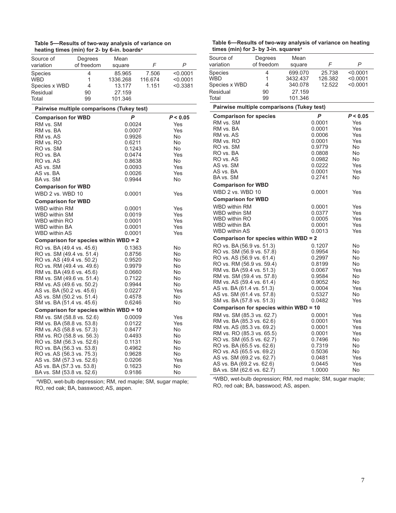| Table 5—Results of two-way analysis of variance on      |
|---------------------------------------------------------|
| heating times (min) for 2- by 6-in. boards <sup>a</sup> |

| Source of      | Degrees    | Mean     |         |          |
|----------------|------------|----------|---------|----------|
| variation      | of freedom | square   |         | P        |
| <b>Species</b> | 4          | 85.965   | 7.506   | < 0.0001 |
| <b>WBD</b>     | 1          | 1336.268 | 116.674 | < 0.0001 |
| Species x WBD  | 4          | 13.177   | 1.151   | < 0.3381 |
| Residual       | 90         | 27.159   |         |          |
| Total          | 99         | 101.346  |         |          |

#### **Pairwise multiple comparisons (Tukey test)**

| <b>Comparison for WBD</b>              | P                | P < 0.05   |
|----------------------------------------|------------------|------------|
| RM vs. SM                              | 0.0024           | Yes        |
| RM vs. BA                              | 0.0007           | Yes        |
| RM vs. AS                              | 0.9926           | No.        |
| RM vs. RO                              | 0.6211           | No         |
| RO vs. SM                              | 0.1243           | No.        |
| RO vs. BA                              | 0.0474           | Yes        |
| RO vs. AS                              | 0.8638           | No         |
| AS vs. SM                              | 0.0093           | Yes        |
| AS vs. BA<br>BA vs. SM                 | 0.0026<br>0.9944 | Yes<br>No. |
|                                        |                  |            |
| <b>Comparison for WBD</b>              |                  |            |
| WBD 2 vs. WBD 10                       | 0.0001           | Yes        |
| <b>Comparison for WBD</b>              |                  |            |
| <b>WBD within RM</b>                   | 0.0001           | Yes        |
| WBD within SM                          | 0.0019           | Yes        |
| <b>WBD within RO</b>                   | 0.0001           | Yes        |
| <b>WBD within BA</b>                   | 0.0001           | Yes        |
| WBD within AS                          | 0.0001           | Yes        |
| Comparison for species within WBD = 2  |                  |            |
| RO vs. BA (49.4 vs. 45.6)              | 0.1363           | No         |
| RO vs. SM (49.4 vs. 51.4)              | 0.8756           | No         |
| RO vs. AS (49.4 vs. 50.2)              | 0.9520           | No         |
| RO vs. RM (49.4 vs. 49.6)              | 0.9979           | No         |
| RM vs. BA (49.6 vs. 45.6)              | 0.0660           | No         |
| RM vs. SM (49.6 vs. 51.4)              | 0.7122           | <b>No</b>  |
| RM vs. AS (49.6 vs. 50.2)              | 0.9944           | No         |
| AS vs. BA (50.2 vs. 45.6)              | 0.0227           | Yes        |
| AS vs. SM (50.2 vs. 51.4)              | 0.4578           | No.        |
| SM vs. BA (51.4 vs. 45.6)              | 0.6246           | No         |
| Comparison for species within WBD = 10 |                  |            |
| RM vs. SM (58.8 vs. 52.6)              | 0.0009           | Yes        |
| RM vs. BA (58.8 vs. 53.8)              | 0.0122           | Yes        |
| RM vs. AS (58.8 vs. 57.3)              | 0.8477           | No         |
| RM vs. RO (58.8 vs. 56.3)              | 0.4493           | No.        |
| RO vs. SM (56.3 vs. 52.6)              | 0.1131           | No         |
| RO vs. BA (56.3 vs. 53.8)              | 0.4962           | No         |
| RO vs. AS (56.3 vs. 75.3)              | 0.9628           | No         |
| AS vs. SM (57.3 vs. 52.6)              | 0.0206           | Yes        |
| AS vs. BA (57.3 vs. 53.8)              | 0.1623           | No         |
| BA vs. SM (53.8 vs. 52.6)              | 0.9186           | No         |

**Table 6—Results of two-way analysis of variance on heating times (min) for 3- by 3-in. squaresa**

| times (min) for 3- by 3-in. squares"                   |            |          |                  |            |
|--------------------------------------------------------|------------|----------|------------------|------------|
| Source of                                              | Degrees    | Mean     |                  |            |
| variation                                              | of freedom | square   | F                | Р          |
| Species                                                | 4          | 699.070  | 25.738           | < 0.0001   |
| WBD                                                    | 1          | 3432.437 | 126.382          | <0.0001    |
| Species x WBD                                          | 4          | 340.078  | 12.522           | $<$ 0.0001 |
| Residual                                               | 90         | 27.159   |                  |            |
| Total                                                  | 99         | 101.346  |                  |            |
| Pairwise multiple comparisons (Tukey test)             |            |          |                  |            |
| <b>Comparison for species</b>                          |            |          | P                | P < 0.05   |
| RM vs. SM                                              |            |          | 0.0001           | Yes        |
| RM vs. BA                                              |            |          | 0.0001           | Yes        |
| RM vs. AS                                              |            |          | 0.0006           | Yes        |
| RM vs. RO                                              |            |          | 0.0001           | Yes        |
| RO vs. SM                                              |            |          | 0.9779           | No         |
| RO vs. BA                                              |            |          | 0.0808           | No<br>No   |
| RO vs. AS<br>AS vs. SM                                 |            |          | 0.0982<br>0.0222 | Yes        |
| AS vs. BA                                              |            |          | 0.0001           | Yes        |
| BA vs. SM                                              |            |          | 0.2741           | No         |
| <b>Comparison for WBD</b>                              |            |          |                  |            |
| WBD 2 vs. WBD 10                                       |            |          | 0.0001           | Yes        |
| <b>Comparison for WBD</b>                              |            |          |                  |            |
| WBD within RM                                          |            |          | 0.0001           | Yes        |
| WBD within SM                                          |            |          | 0.0377           | Yes        |
| <b>WBD within RO</b>                                   |            |          | 0.0005           | Yes        |
| WBD within BA                                          |            |          | 0.0001           | Yes        |
| WBD within AS                                          |            |          | 0.0013           | Yes        |
| Comparison for species within WBD = 2                  |            |          |                  |            |
| RO vs. BA (56.9 vs. 51.3)                              |            |          | 0.1207           | No         |
| RO vs. SM (56.9 vs. 57.8)                              |            |          | 0.9954           | No         |
| RO vs. AS (56.9 vs. 61.4)                              |            |          | 0.2997           | No         |
| RO vs. RM (56.9 vs. 59.4)                              |            |          | 0.8199           | No         |
| RM vs. BA (59.4 vs. 51.3)                              |            |          | 0.0067           | Yes        |
| RM vs. SM (59.4 vs. 57.8)                              |            |          | 0.9584           | No         |
| RM vs. AS (59.4 vs. 61.4)                              |            |          | 0.9052           | No         |
| AS vs. BA (61.4 vs. 51.3)                              |            |          | 0.0004           | Yes        |
| AS vs. SM (61.4 vs. 57.8)<br>SM vs. BA (57.8 vs. 51.3) |            |          | 0.5327<br>0.0482 | No<br>Yes  |
| Comparison for species within WBD = 10                 |            |          |                  |            |
| RM vs. SM (85.3 vs. 62.7)                              |            |          | 0.0001           | Yes        |
| RM vs. BA (85.3 vs. 62.6)                              |            |          | 0.0001           | Yes        |
| RM vs. AS (85.3 vs. 69.2)                              |            |          | 0.0001           | Yes        |
| RM vs. RO (85.3 vs. 65.5)                              |            |          | 0.0001           | Yes        |
| RO vs. SM (65.5 vs. 62.7)                              |            |          | 0.7496           | No         |
| RO vs. BA (65.5 vs. 62.6)                              |            |          | 0.7319           | No         |
| RO vs. AS (65.5 vs. 69.2)                              |            |          | 0.5036           | No         |
| AS vs. SM (69.2 vs. 62.7)                              |            |          | 0.0481           | Yes        |
| AS vs. BA (69.2 vs. 62.6)                              |            |          | 0.0445           | Yes        |
| BA vs. SM (62.6 vs. 62.7)                              |            |          | 1.0000           | No         |

a WBD, wet-bulb depression; RM, red maple; SM, sugar maple; RO, red oak; BA, basswood; AS, aspen.

a WBD, wet-bulb depression; RM, red maple; SM, sugar maple; RO, red oak; BA, basswood; AS, aspen.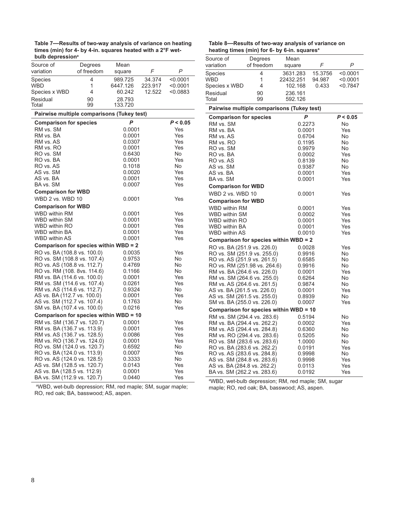**Table 7—Results of two-way analysis of variance on heating times (min) for 4- by 4-in. squares heated with a 2°F wetbulb depressiona**

| Source of<br>variation | Degrees<br>of freedom | Mean<br>square    |         |          |
|------------------------|-----------------------|-------------------|---------|----------|
| <b>Species</b>         | 4                     | 989.725           | 34.374  | < 0.0001 |
| <b>WBD</b>             | 1                     | 6447.126          | 223.917 | < 0.0001 |
| Species x WBD          | 4                     | 60.242            | 12.522  | < 0.0883 |
| Residual<br>Total      | 90<br>99              | 28.793<br>133.720 |         |          |

#### **Pairwise multiple comparisons (Tukey test)**

| <b>Comparison for species</b>          | P      | P < 0.05 |  |  |
|----------------------------------------|--------|----------|--|--|
| RM vs. SM                              | 0.0001 | Yes      |  |  |
| RM vs. BA                              | 0.0001 | Yes      |  |  |
| RM vs. AS                              | 0.0307 | Yes      |  |  |
| RM vs. RO                              | 0.0001 | Yes      |  |  |
| RO vs. SM                              | 0.6430 | No       |  |  |
| RO vs. BA                              | 0.0001 | Yes      |  |  |
| RO vs. AS                              | 0.1018 | No.      |  |  |
| AS vs. SM                              | 0.0020 | Yes      |  |  |
| AS vs. BA                              | 0.0001 | Yes      |  |  |
| BA vs. SM                              | 0.0007 | Yes      |  |  |
| <b>Comparison for WBD</b>              |        |          |  |  |
| WBD 2 vs. WBD 10                       | 0.0001 | Yes      |  |  |
| <b>Comparison for WBD</b>              |        |          |  |  |
| <b>WBD within RM</b>                   | 0.0001 | Yes      |  |  |
| WBD within SM                          | 0.0001 | Yes      |  |  |
| <b>WBD within RO</b>                   | 0.0001 | Yes      |  |  |
| WBD within BA                          | 0.0001 | Yes      |  |  |
| <b>WBD within AS</b>                   | 0.0001 | Yes      |  |  |
| Comparison for species within WBD = 2  |        |          |  |  |
| RO vs. BA (108.8 vs. 100.0)            | 0.0035 | Yes      |  |  |
| RO vs. SM (108.8 vs. 107.4)            | 0.9753 | No       |  |  |
| RO vs. AS (108.8 vs. 112.7)            | 0.4769 | No       |  |  |
| RO vs. RM (108. 8vs. 114.6)            | 0.1166 | No       |  |  |
| RM vs. BA (114.6 vs. 100.0)            | 0.0001 | Yes      |  |  |
| RM vs. SM (114.6 vs. 107.4)            | 0.0261 | Yes      |  |  |
| RM vs. AS (114.6 vs. 112.7)            | 0.9324 | No       |  |  |
| AS vs. BA (112.7 vs. 100.0)            | 0.0001 | Yes      |  |  |
| AS vs. SM (112.7 vs. 107.4)            | 0.1763 | No       |  |  |
| SM vs. BA (107.4 vs. 100.0)            | 0.0216 | Yes      |  |  |
| Comparison for species within WBD = 10 |        |          |  |  |
| RM vs. SM (136.7 vs. 120.7)            | 0.0001 | Yes      |  |  |
| RM vs. BA (136.7 vs. 113.9)            | 0.0001 | Yes      |  |  |
| RM vs. AS (136.7 vs. 128.5)            | 0.0086 | Yes      |  |  |
| RM vs. RO (136.7 vs. 124.0)            | 0.0001 | Yes      |  |  |
| RO vs. SM (124.0 vs. 120.7)            | 0.6592 | No       |  |  |
| RO vs. BA (124.0 vs. 113.9)            | 0.0007 | Yes      |  |  |
| RO vs. AS (124.0 vs. 128.5)            | 0.3333 | No       |  |  |
| AS vs. SM (128.5 vs. 120.7)            | 0.0143 | Yes      |  |  |
| AS vs. BA (128.5 vs. 112.9)            | 0.0001 | Yes      |  |  |
| BA vs. SM (112.9 vs. 120.7)            | 0.0440 | Yes      |  |  |
|                                        |        |          |  |  |

a WBD, wet-bulb depression; RM, red maple; SM, sugar maple; RO, red oak; BA, basswood; AS, aspen.

| Table 8—Results of two-way analysis of variance on |  |  |
|----------------------------------------------------|--|--|
| heating times (min) for 6- by 6-in. squaresª       |  |  |

| neating times (min) for 6- by 6-in. squares°               |            |                  |         |            |  |  |  |
|------------------------------------------------------------|------------|------------------|---------|------------|--|--|--|
| Source of                                                  | Degrees    | Mean             |         |            |  |  |  |
| variation                                                  | of freedom | square           | F       | P          |  |  |  |
| <b>Species</b>                                             | 4          | 3631.283         | 15.3756 | < 0.0001   |  |  |  |
| WBD                                                        | 1          | 22432.251        | 94.987  | < 0.0001   |  |  |  |
| Species x WBD                                              | 4          | 102.168          | 0.433   | < 0.7847   |  |  |  |
| Residual                                                   | 90         | 236.161          |         |            |  |  |  |
| Total                                                      | 99         | 592.126          |         |            |  |  |  |
| Pairwise multiple comparisons (Tukey test)                 |            |                  |         |            |  |  |  |
| <b>Comparison for species</b>                              |            | P                |         | P < 0.05   |  |  |  |
| RM vs. SM                                                  |            | 0.2273           |         | No         |  |  |  |
| RM vs. BA                                                  |            | 0.0001           |         | Yes        |  |  |  |
| RM vs. AS                                                  |            | 0.6704           |         | No         |  |  |  |
| RM vs. RO                                                  |            | 0.1195           |         | No<br>No   |  |  |  |
| RO vs. SM                                                  |            |                  | 0.9979  |            |  |  |  |
| RO vs. BA                                                  |            | 0.0002           |         | Yes        |  |  |  |
| RO vs. AS                                                  |            | 0.8139           |         | No         |  |  |  |
| AS vs. SM<br>AS vs. BA                                     |            | 0.9387           |         | No<br>Yes  |  |  |  |
| BA vs. SM                                                  |            | 0.0001<br>0.0001 |         | Yes        |  |  |  |
|                                                            |            |                  |         |            |  |  |  |
| <b>Comparison for WBD</b>                                  |            |                  |         |            |  |  |  |
| WBD 2 vs. WBD 10                                           |            | 0.0001           |         | Yes        |  |  |  |
| <b>Comparison for WBD</b>                                  |            |                  |         |            |  |  |  |
| <b>WBD within RM</b>                                       |            | 0.0001           |         | Yes        |  |  |  |
| WBD within SM                                              |            | 0.0002           |         | Yes        |  |  |  |
| WBD within RO<br><b>WBD within BA</b>                      |            | 0.0001           |         | Yes        |  |  |  |
| <b>WBD within AS</b>                                       |            | 0.0001<br>0.0010 |         | Yes<br>Yes |  |  |  |
| Comparison for species within WBD = 2                      |            |                  |         |            |  |  |  |
| RO vs. BA (251.9 vs. 226.0)                                |            |                  |         |            |  |  |  |
| RO vs. SM (251.9 vs. 255.0)                                |            | 0.0028<br>0.9916 |         | Yes<br>No  |  |  |  |
| RO vs. AS (251.9 vs. 261.5)                                |            | 0.6585           |         | No         |  |  |  |
| RO vs. RM (251.98 vs. 264.6)                               |            | 0.9916           |         | No         |  |  |  |
| RM vs. BA (264.6 vs. 226.0)                                |            | 0.0001           |         | Yes        |  |  |  |
| RM vs. SM (264.6 vs. 255.0)                                |            | 0.6264           |         | No         |  |  |  |
| RM vs. AS (264.6 vs. 261.5)                                |            | 0.9874           |         | No         |  |  |  |
| AS vs. BA (261.5 vs. 226.0)                                |            | 0.0001           |         | Yes        |  |  |  |
| AS vs. SM (261.5 vs. 255.0)                                |            | 0.8939           |         | No         |  |  |  |
| SM vs. BA (255.0 vs. 226.0)                                |            | 0.0007           |         | Yes        |  |  |  |
| Comparison for species within WBD = 10                     |            |                  |         |            |  |  |  |
| RM vs. SM (294.4 vs. 283.6)                                |            | 0.5194           |         | No         |  |  |  |
| RM vs. BA (294.4 vs. 262.2)                                |            | 0.0002           |         | Yes        |  |  |  |
| RM vs. AS (294.4 vs. 284.8)                                |            | 0.6360           |         | No         |  |  |  |
| RM vs. RO (294.4 vs. 283.6)                                |            | 0.5205           |         | No         |  |  |  |
| RO vs. SM (283.6 vs. 283.6)                                |            | 1.0000           |         | No         |  |  |  |
| RO vs. BA (283.6 vs. 262.2)                                |            | 0.0191           |         | Yes        |  |  |  |
| RO vs. AS (283.6 vs. 284.8)<br>AS vs. SM (284.8 vs. 283.6) |            | 0.9998<br>0.9998 |         | No<br>Yes  |  |  |  |
| AS vs. BA (284.8 vs. 262.2)                                |            | 0.0113           |         | Yes        |  |  |  |
| BA vs. SM (262.2 vs. 283.6)                                |            | 0.0192           |         | Yes        |  |  |  |
|                                                            |            |                  |         |            |  |  |  |

a WBD, wet-bulb depression; RM, red maple; SM, sugar maple; RO, red oak; BA, basswood; AS, aspen.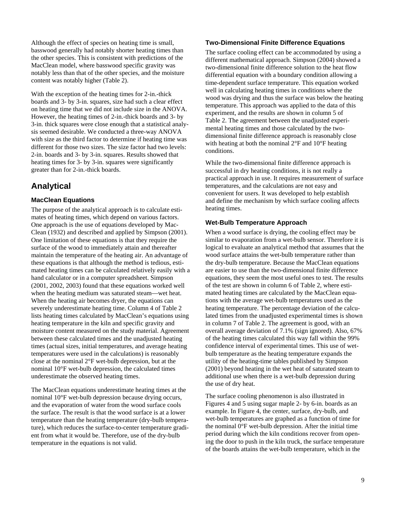Although the effect of species on heating time is small, basswood generally had notably shorter heating times than the other species. This is consistent with predictions of the MacClean model, where basswood specific gravity was notably less than that of the other species, and the moisture content was notably higher (Table 2).

With the exception of the heating times for 2-in.-thick boards and 3- by 3-in. squares, size had such a clear effect on heating time that we did not include size in the ANOVA. However, the heating times of 2-in.-thick boards and 3- by 3-in. thick squares were close enough that a statistical analysis seemed desirable. We conducted a three-way ANOVA with size as the third factor to determine if heating time was different for those two sizes. The size factor had two levels: 2-in. boards and 3- by 3-in. squares. Results showed that heating times for 3- by 3-in. squares were significantly greater than for 2-in.-thick boards.

#### **Analytical**

#### **MacClean Equations**

The purpose of the analytical approach is to calculate estimates of heating times, which depend on various factors. One approach is the use of equations developed by Mac-Clean (1932) and described and applied by Simpson (2001). One limitation of these equations is that they require the surface of the wood to immediately attain and thereafter maintain the temperature of the heating air. An advantage of these equations is that although the method is tedious, estimated heating times can be calculated relatively easily with a hand calculator or in a computer spreadsheet. Simpson (2001, 2002, 2003) found that these equations worked well when the heating medium was saturated steam—wet heat. When the heating air becomes dryer, the equations can severely underestimate heating time. Column 4 of Table 2 lists heating times calculated by MacClean's equations using heating temperature in the kiln and specific gravity and moisture content measured on the study material. Agreement between these calculated times and the unadjusted heating times (actual sizes, initial temperatures, and average heating temperatures were used in the calculations) is reasonably close at the nominal 2°F wet-bulb depression, but at the nominal 10°F wet-bulb depression, the calculated times underestimate the observed heating times.

The MacClean equations underestimate heating times at the nominal 10°F wet-bulb depression because drying occurs, and the evaporation of water from the wood surface cools the surface. The result is that the wood surface is at a lower temperature than the heating temperature (dry-bulb temperature), which reduces the surface-to-center temperature gradient from what it would be. Therefore, use of the dry-bulb temperature in the equations is not valid.

#### **Two-Dimensional Finite Difference Equations**

The surface cooling effect can be accommodated by using a different mathematical approach. Simpson (2004) showed a two-dimensional finite difference solution to the heat flow differential equation with a boundary condition allowing a time-dependent surface temperature. This equation worked well in calculating heating times in conditions where the wood was drying and thus the surface was below the heating temperature. This approach was applied to the data of this experiment, and the results are shown in column 5 of Table 2. The agreement between the unadjusted experimental heating times and those calculated by the twodimensional finite difference approach is reasonably close with heating at both the nominal  $2^{\circ}$ F and  $10^{\circ}$ F heating conditions.

While the two-dimensional finite difference approach is successful in dry heating conditions, it is not really a practical approach in use. It requires measurement of surface temperatures, and the calculations are not easy and convenient for users. It was developed to help establish and define the mechanism by which surface cooling affects heating times.

#### **Wet-Bulb Temperature Approach**

When a wood surface is drying, the cooling effect may be similar to evaporation from a wet-bulb sensor. Therefore it is logical to evaluate an analytical method that assumes that the wood surface attains the wet-bulb temperature rather than the dry-bulb temperature. Because the MacClean equations are easier to use than the two-dimensional finite difference equations, they seem the most useful ones to test. The results of the test are shown in column 6 of Table 2, where estimated heating times are calculated by the MacClean equations with the average wet-bulb temperatures used as the heating temperature. The percentage deviation of the calculated times from the unadjusted experimental times is shown in column 7 of Table 2. The agreement is good, with an overall average deviation of 7.1% (sign ignored). Also, 67% of the heating times calculated this way fall within the 99% confidence interval of experimental times. This use of wetbulb temperature as the heating temperature expands the utility of the heating-time tables published by Simpson (2001) beyond heating in the wet heat of saturated steam to additional use when there is a wet-bulb depression during the use of dry heat.

The surface cooling phenomenon is also illustrated in Figures 4 and 5 using sugar maple 2- by 6-in. boards as an example. In Figure 4, the center, surface, dry-bulb, and wet-bulb temperatures are graphed as a function of time for the nominal 0°F wet-bulb depression. After the initial time period during which the kiln conditions recover from opening the door to push in the kiln truck, the surface temperature of the boards attains the wet-bulb temperature, which in the